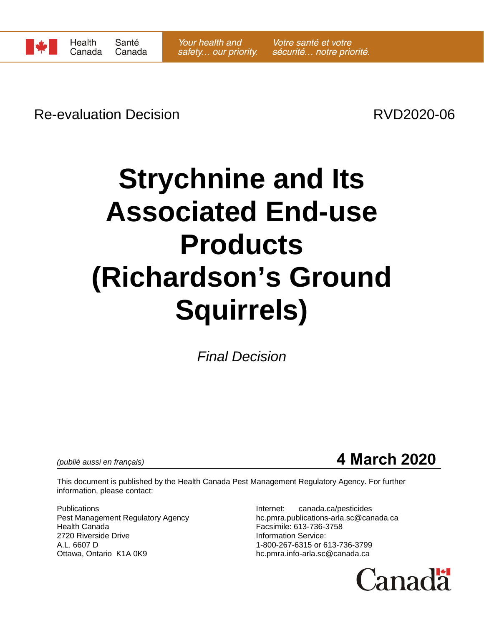

# Re-evaluation Decision **Re-evaluation** Decision

# **Strychnine and Its Associated End-use Products (Richardson's Ground Squirrels)**

*Final Decision*

# *(publié aussi en français)* **4 March 2020**

This document is published by the Health Canada Pest Management Regulatory Agency. For further information, please contact:

Publications Internet: canada.ca/pesticides Health Canada **Facsimile: 613-736-3758**<br>19720 Riverside Drive **National State of Canada Accord Provide:** 101000 Provide: 2720 Riverside Drive<br>A.L. 6607 D Ottawa, Ontario K1A 0K9 hc.pmra.info-arla.sc@canada.ca

Pest Management Regulatory Agency hc.pmra.publications-arla.sc@canada.ca 1-800-267-6315 or 613-736-3799

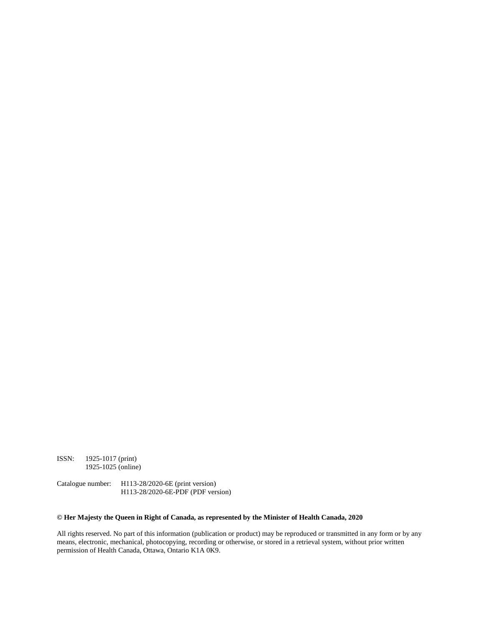ISSN: 1925-1017 (print) 1925-1025 (online)

Catalogue number: H113-28/2020-6E (print version) H113-28/2020-6E-PDF (PDF version)

#### **© Her Majesty the Queen in Right of Canada, as represented by the Minister of Health Canada, 2020**

All rights reserved. No part of this information (publication or product) may be reproduced or transmitted in any form or by any means, electronic, mechanical, photocopying, recording or otherwise, or stored in a retrieval system, without prior written permission of Health Canada, Ottawa, Ontario K1A 0K9.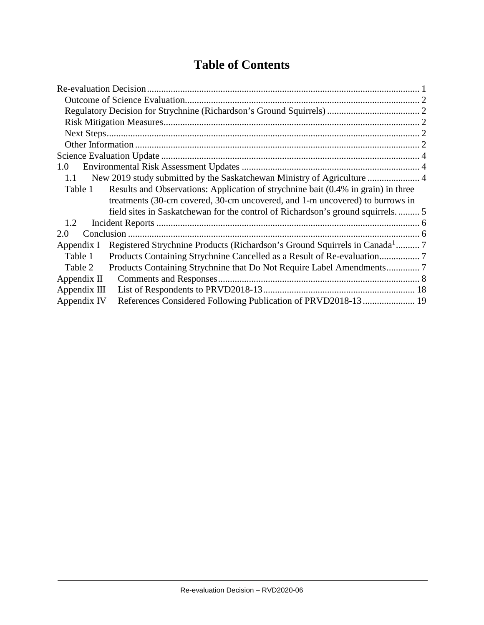# **Table of Contents**

| 1.0                                                                                                  |  |
|------------------------------------------------------------------------------------------------------|--|
| 1.1                                                                                                  |  |
| Results and Observations: Application of strychnine bait (0.4% in grain) in three<br>Table 1         |  |
| treatments (30-cm covered, 30-cm uncovered, and 1-m uncovered) to burrows in                         |  |
|                                                                                                      |  |
| 1.2                                                                                                  |  |
| Conclusion<br>2.0                                                                                    |  |
| Registered Strychnine Products (Richardson's Ground Squirrels in Canada <sup>1</sup> 7<br>Appendix I |  |
| Table 1                                                                                              |  |
| Table 2                                                                                              |  |
| Appendix $\Pi$                                                                                       |  |
| Appendix III                                                                                         |  |
| References Considered Following Publication of PRVD2018-13 19<br>Appendix IV                         |  |

 $\frac{1}{2}$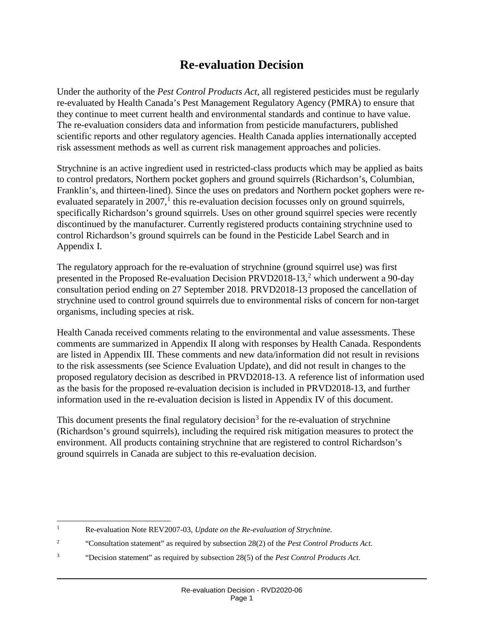# **Re-evaluation Decision**

Under the authority of the *Pest Control Products Act,* all registered pesticides must be regularly re-evaluated by Health Canada's Pest Management Regulatory Agency (PMRA) to ensure that they continue to meet current health and environmental standards and continue to have value. The re-evaluation considers data and information from pesticide manufacturers, published scientific reports and other regulatory agencies. Health Canada applies internationally accepted risk assessment methods as well as current risk management approaches and policies.

Strychnine is an active ingredient used in restricted-class products which may be applied as baits to control predators, Northern pocket gophers and ground squirrels (Richardson's, Columbian, Franklin's, and thirteen-lined). Since the uses on predators and Northern pocket gophers were re-evaluated separately in 2007,<sup>[1](#page-3-0)</sup> this re-evaluation decision focusses only on ground squirrels, specifically Richardson's ground squirrels. Uses on other ground squirrel species were recently discontinued by the manufacturer. Currently registered products containing strychnine used to control Richardson's ground squirrels can be found in the Pesticide Label Search and in Appendix I.

The regulatory approach for the re-evaluation of strychnine (ground squirrel use) was first presented in the Proposed Re-evaluation Decision PRVD[2](#page-3-1)018-13,<sup>2</sup> which underwent a 90-day consultation period ending on 27 September 2018. PRVD2018-13 proposed the cancellation of strychnine used to control ground squirrels due to environmental risks of concern for non-target organisms, including species at risk.

Health Canada received comments relating to the environmental and value assessments. These comments are summarized in Appendix II along with responses by Health Canada. Respondents are listed in Appendix III. These comments and new data/information did not result in revisions to the risk assessments (see Science Evaluation Update), and did not result in changes to the proposed regulatory decision as described in PRVD2018-13. A reference list of information used as the basis for the proposed re-evaluation decision is included in PRVD2018-13, and further information used in the re-evaluation decision is listed in Appendix IV of this document.

This document presents the final regulatory decision<sup>[3](#page-3-2)</sup> for the re-evaluation of strychnine (Richardson's ground squirrels), including the required risk mitigation measures to protect the environment. All products containing strychnine that are registered to control Richardson's ground squirrels in Canada are subject to this re-evaluation decision.

<span id="page-3-2"></span><sup>3</sup> "Decision statement" as required by subsection 28(5) of the *Pest Control Products Act*.

<span id="page-3-0"></span> <sup>1</sup> Re-evaluation Note REV2007-03, *Update on the Re-evaluation of Strychnine.*

<span id="page-3-1"></span><sup>2</sup> "Consultation statement" as required by subsection 28(2) of the *Pest Control Products Act.*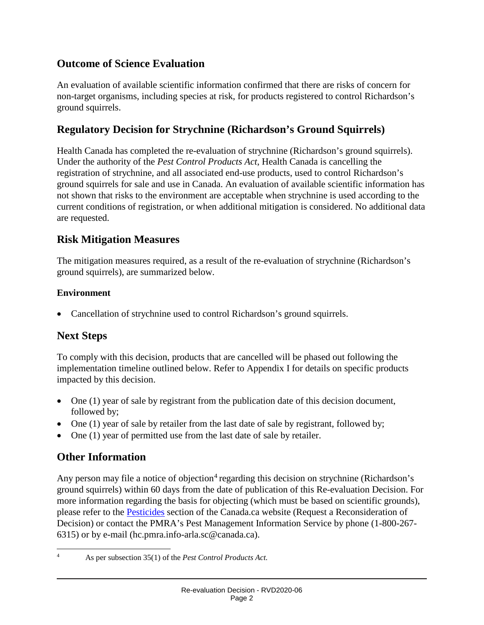# **Outcome of Science Evaluation**

An evaluation of available scientific information confirmed that there are risks of concern for non-target organisms, including species at risk, for products registered to control Richardson's ground squirrels.

# **Regulatory Decision for Strychnine (Richardson's Ground Squirrels)**

Health Canada has completed the re-evaluation of strychnine (Richardson's ground squirrels). Under the authority of the *Pest Control Products Act*, Health Canada is cancelling the registration of strychnine, and all associated end-use products, used to control Richardson's ground squirrels for sale and use in Canada. An evaluation of available scientific information has not shown that risks to the environment are acceptable when strychnine is used according to the current conditions of registration, or when additional mitigation is considered. No additional data are requested.

# **Risk Mitigation Measures**

The mitigation measures required, as a result of the re-evaluation of strychnine (Richardson's ground squirrels), are summarized below.

#### **Environment**

• Cancellation of strychnine used to control Richardson's ground squirrels.

# **Next Steps**

To comply with this decision, products that are cancelled will be phased out following the implementation timeline outlined below. Refer to Appendix I for details on specific products impacted by this decision.

- One (1) year of sale by registrant from the publication date of this decision document, followed by;
- One (1) year of sale by retailer from the last date of sale by registrant, followed by;
- One (1) year of permitted use from the last date of sale by retailer.

# **Other Information**

Any person may file a notice of objection<sup>[4](#page-4-0)</sup> regarding this decision on strychnine (Richardson's ground squirrels) within 60 days from the date of publication of this Re-evaluation Decision. For more information regarding the basis for objecting (which must be based on scientific grounds), please refer to the [Pesticides](https://www.canada.ca/en/health-canada/services/consumer-product-safety/pesticides-pest-management.html) section of the Canada.ca website (Request a Reconsideration of Decision) or contact the PMRA's Pest Management Information Service by phone (1-800-267- 6315) or by e-mail (hc.pmra.info-arla.sc@canada.ca).

<span id="page-4-0"></span> <sup>4</sup> As per subsection 35(1) of the *Pest Control Products Act.*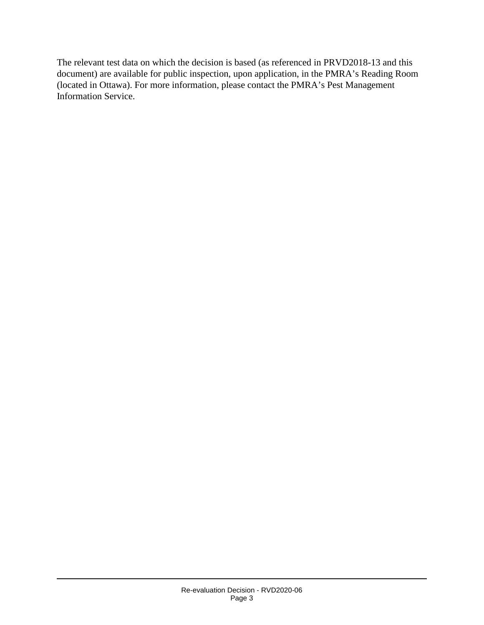The relevant test data on which the decision is based (as referenced in PRVD2018-13 and this document) are available for public inspection, upon application, in the PMRA's Reading Room (located in Ottawa). For more information, please contact the PMRA's Pest Management Information Service.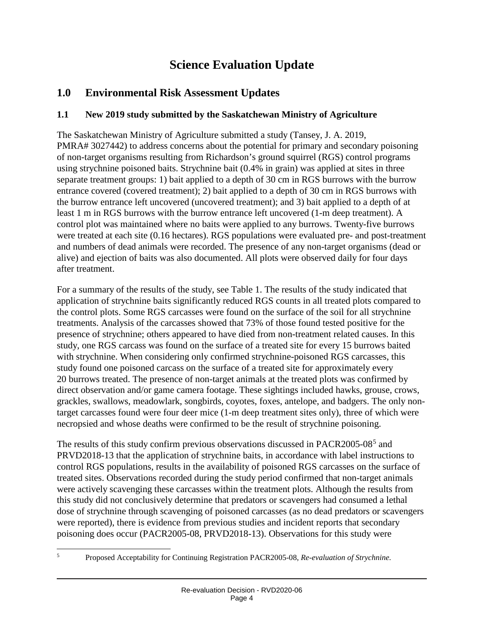# **Science Evaluation Update**

# **1.0 Environmental Risk Assessment Updates**

#### **1.1 New 2019 study submitted by the Saskatchewan Ministry of Agriculture**

The Saskatchewan Ministry of Agriculture submitted a study (Tansey, J. A. 2019, PMRA# 3027442) to address concerns about the potential for primary and secondary poisoning of non-target organisms resulting from Richardson's ground squirrel (RGS) control programs using strychnine poisoned baits. Strychnine bait (0.4% in grain) was applied at sites in three separate treatment groups: 1) bait applied to a depth of 30 cm in RGS burrows with the burrow entrance covered (covered treatment); 2) bait applied to a depth of 30 cm in RGS burrows with the burrow entrance left uncovered (uncovered treatment); and 3) bait applied to a depth of at least 1 m in RGS burrows with the burrow entrance left uncovered (1-m deep treatment). A control plot was maintained where no baits were applied to any burrows. Twenty-five burrows were treated at each site (0.16 hectares). RGS populations were evaluated pre- and post-treatment and numbers of dead animals were recorded. The presence of any non-target organisms (dead or alive) and ejection of baits was also documented. All plots were observed daily for four days after treatment.

For a summary of the results of the study, see Table 1. The results of the study indicated that application of strychnine baits significantly reduced RGS counts in all treated plots compared to the control plots. Some RGS carcasses were found on the surface of the soil for all strychnine treatments. Analysis of the carcasses showed that 73% of those found tested positive for the presence of strychnine; others appeared to have died from non-treatment related causes. In this study, one RGS carcass was found on the surface of a treated site for every 15 burrows baited with strychnine. When considering only confirmed strychnine-poisoned RGS carcasses, this study found one poisoned carcass on the surface of a treated site for approximately every 20 burrows treated. The presence of non-target animals at the treated plots was confirmed by direct observation and/or game camera footage. These sightings included hawks, grouse, crows, grackles, swallows, meadowlark, songbirds, coyotes, foxes, antelope, and badgers. The only nontarget carcasses found were four deer mice (1-m deep treatment sites only), three of which were necropsied and whose deaths were confirmed to be the result of strychnine poisoning.

The results of this study confirm previous observations discussed in PACR2005-08[5](#page-6-0) and PRVD2018-13 that the application of strychnine baits, in accordance with label instructions to control RGS populations, results in the availability of poisoned RGS carcasses on the surface of treated sites. Observations recorded during the study period confirmed that non-target animals were actively scavenging these carcasses within the treatment plots. Although the results from this study did not conclusively determine that predators or scavengers had consumed a lethal dose of strychnine through scavenging of poisoned carcasses (as no dead predators or scavengers were reported), there is evidence from previous studies and incident reports that secondary poisoning does occur (PACR2005-08, PRVD2018-13). Observations for this study were

<span id="page-6-0"></span>

 <sup>5</sup> Proposed Acceptability for Continuing Registration PACR2005-08, *Re-evaluation of Strychnine.*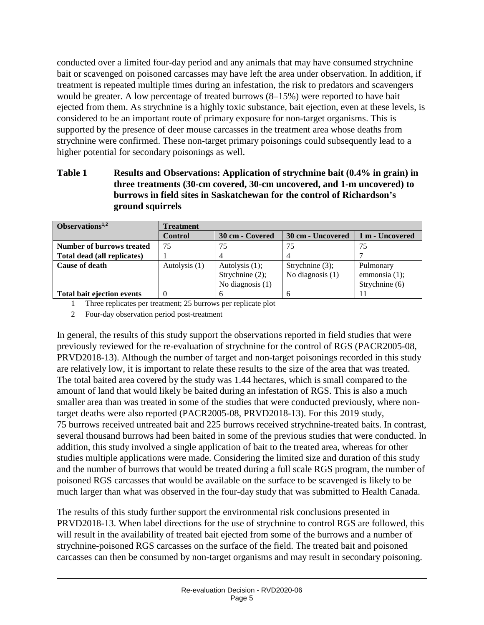conducted over a limited four-day period and any animals that may have consumed strychnine bait or scavenged on poisoned carcasses may have left the area under observation. In addition, if treatment is repeated multiple times during an infestation, the risk to predators and scavengers would be greater. A low percentage of treated burrows (8–15%) were reported to have bait ejected from them. As strychnine is a highly toxic substance, bait ejection, even at these levels, is considered to be an important route of primary exposure for non-target organisms. This is supported by the presence of deer mouse carcasses in the treatment area whose deaths from strychnine were confirmed. These non-target primary poisonings could subsequently lead to a higher potential for secondary poisonings as well.

#### **Table 1 Results and Observations: Application of strychnine bait (0.4% in grain) in three treatments (30-cm covered, 30-cm uncovered, and 1-m uncovered) to burrows in field sites in Saskatchewan for the control of Richardson's ground squirrels**

| Observations $1,2$               | Treatment      |                    |                    |                  |
|----------------------------------|----------------|--------------------|--------------------|------------------|
|                                  | <b>Control</b> | 30 cm - Covered    | 30 cm - Uncovered  | 1 m - Uncovered  |
| <b>Number of burrows treated</b> | 75             | 75                 | 75                 |                  |
| Total dead (all replicates)      |                |                    |                    |                  |
| Cause of death                   | Autolysis (1)  | Autolysis $(1)$ ;  | Strychnine $(3)$ ; | Pulmonary        |
|                                  |                | Strychnine (2);    | No diagnosis $(1)$ | emmonsia $(1)$ ; |
|                                  |                | No diagnosis $(1)$ |                    | Strychnine (6)   |
| Total bait ejection events       | $\theta$       |                    |                    |                  |

1 Three replicates per treatment; 25 burrows per replicate plot

2 Four-day observation period post-treatment

In general, the results of this study support the observations reported in field studies that were previously reviewed for the re-evaluation of strychnine for the control of RGS (PACR2005-08, PRVD2018-13). Although the number of target and non-target poisonings recorded in this study are relatively low, it is important to relate these results to the size of the area that was treated. The total baited area covered by the study was 1.44 hectares, which is small compared to the amount of land that would likely be baited during an infestation of RGS. This is also a much smaller area than was treated in some of the studies that were conducted previously, where nontarget deaths were also reported (PACR2005-08, PRVD2018-13). For this 2019 study, 75 burrows received untreated bait and 225 burrows received strychnine-treated baits. In contrast, several thousand burrows had been baited in some of the previous studies that were conducted. In addition, this study involved a single application of bait to the treated area, whereas for other studies multiple applications were made. Considering the limited size and duration of this study and the number of burrows that would be treated during a full scale RGS program, the number of poisoned RGS carcasses that would be available on the surface to be scavenged is likely to be much larger than what was observed in the four-day study that was submitted to Health Canada.

The results of this study further support the environmental risk conclusions presented in PRVD2018-13. When label directions for the use of strychnine to control RGS are followed, this will result in the availability of treated bait ejected from some of the burrows and a number of strychnine-poisoned RGS carcasses on the surface of the field. The treated bait and poisoned carcasses can then be consumed by non-target organisms and may result in secondary poisoning.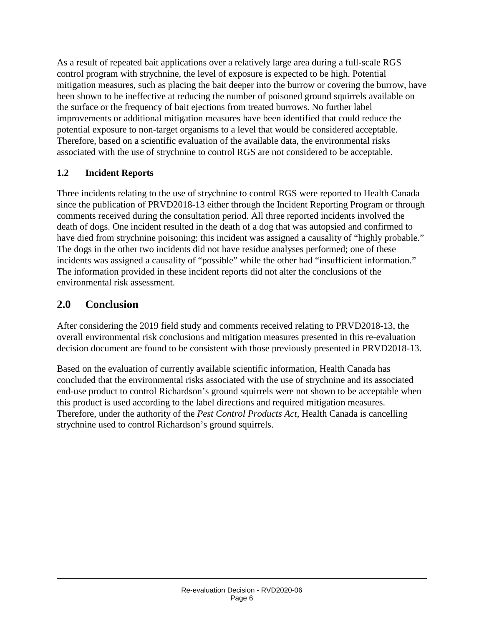As a result of repeated bait applications over a relatively large area during a full-scale RGS control program with strychnine, the level of exposure is expected to be high. Potential mitigation measures, such as placing the bait deeper into the burrow or covering the burrow, have been shown to be ineffective at reducing the number of poisoned ground squirrels available on the surface or the frequency of bait ejections from treated burrows. No further label improvements or additional mitigation measures have been identified that could reduce the potential exposure to non-target organisms to a level that would be considered acceptable. Therefore, based on a scientific evaluation of the available data, the environmental risks associated with the use of strychnine to control RGS are not considered to be acceptable.

#### **1.2 Incident Reports**

Three incidents relating to the use of strychnine to control RGS were reported to Health Canada since the publication of PRVD2018-13 either through the Incident Reporting Program or through comments received during the consultation period. All three reported incidents involved the death of dogs. One incident resulted in the death of a dog that was autopsied and confirmed to have died from strychnine poisoning; this incident was assigned a causality of "highly probable." The dogs in the other two incidents did not have residue analyses performed; one of these incidents was assigned a causality of "possible" while the other had "insufficient information." The information provided in these incident reports did not alter the conclusions of the environmental risk assessment.

# **2.0 Conclusion**

After considering the 2019 field study and comments received relating to PRVD2018-13, the overall environmental risk conclusions and mitigation measures presented in this re-evaluation decision document are found to be consistent with those previously presented in PRVD2018-13.

Based on the evaluation of currently available scientific information, Health Canada has concluded that the environmental risks associated with the use of strychnine and its associated end-use product to control Richardson's ground squirrels were not shown to be acceptable when this product is used according to the label directions and required mitigation measures. Therefore, under the authority of the *Pest Control Products Act*, Health Canada is cancelling strychnine used to control Richardson's ground squirrels.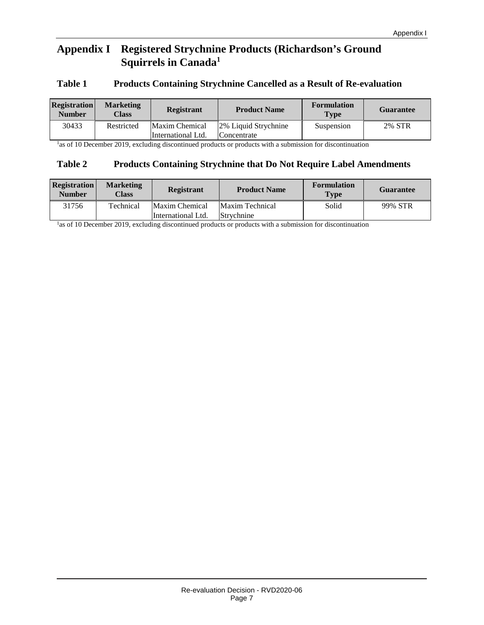## **Appendix I Registered Strychnine Products (Richardson's Ground Squirrels in Canada1**

#### **Table 1 Products Containing Strychnine Cancelled as a Result of Re-evaluation**

| <b>Registration</b><br><b>Number</b> | <b>Marketing</b><br>Class | <b>Registrant</b>                    | <b>Product Name</b>                 | <b>Formulation</b><br><b>Type</b> | <b>Guarantee</b> |
|--------------------------------------|---------------------------|--------------------------------------|-------------------------------------|-----------------------------------|------------------|
| 30433                                | Restricted                | Maxim Chemical<br>International Ltd. | 2% Liquid Strychnine<br>Concentrate | Suspension                        | 2% STR           |

<sup>1</sup>as of 10 December 2019, excluding discontinued products or products with a submission for discontinuation

#### **Table 2 Products Containing Strychnine that Do Not Require Label Amendments**

| <b>Registration</b><br><b>Number</b> | <b>Marketing</b><br>Class | <b>Registrant</b>  | <b>Product Name</b> | <b>Formulation</b><br><b>Type</b> | <b>Guarantee</b> |
|--------------------------------------|---------------------------|--------------------|---------------------|-----------------------------------|------------------|
| 31756                                | Technical                 | Maxim Chemical     | Maxim Technical     | Solid                             | 99% STR          |
|                                      |                           | International Ltd. | Strychnine          |                                   |                  |

<sup>1</sup>as of 10 December 2019, excluding discontinued products or products with a submission for discontinuation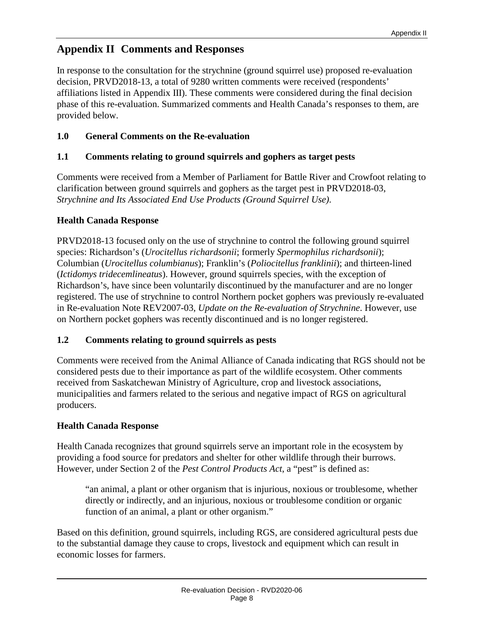# **Appendix II Comments and Responses**

In response to the consultation for the strychnine (ground squirrel use) proposed re-evaluation decision, PRVD2018-13, a total of 9280 written comments were received (respondents' affiliations listed in Appendix III). These comments were considered during the final decision phase of this re-evaluation. Summarized comments and Health Canada's responses to them, are provided below.

#### **1.0 General Comments on the Re-evaluation**

#### **1.1 Comments relating to ground squirrels and gophers as target pests**

Comments were received from a Member of Parliament for Battle River and Crowfoot relating to clarification between ground squirrels and gophers as the target pest in PRVD2018-03, *Strychnine and Its Associated End Use Products (Ground Squirrel Use)*.

#### **Health Canada Response**

PRVD2018-13 focused only on the use of strychnine to control the following ground squirrel species: Richardson's (*Urocitellus richardsonii*; formerly *Spermophilus richardsonii*); Columbian (*Urocitellus columbianus*); Franklin's (*Poliocitellus franklinii*); and thirteen-lined (*Ictidomys tridecemlineatus*). However, ground squirrels species, with the exception of Richardson's, have since been voluntarily discontinued by the manufacturer and are no longer registered. The use of strychnine to control Northern pocket gophers was previously re-evaluated in Re-evaluation Note REV2007-03, *Update on the Re-evaluation of Strychnine*. However, use on Northern pocket gophers was recently discontinued and is no longer registered.

#### **1.2 Comments relating to ground squirrels as pests**

Comments were received from the Animal Alliance of Canada indicating that RGS should not be considered pests due to their importance as part of the wildlife ecosystem. Other comments received from Saskatchewan Ministry of Agriculture, crop and livestock associations, municipalities and farmers related to the serious and negative impact of RGS on agricultural producers.

#### **Health Canada Response**

Health Canada recognizes that ground squirrels serve an important role in the ecosystem by providing a food source for predators and shelter for other wildlife through their burrows. However, under Section 2 of the *Pest Control Products Act*, a "pest" is defined as:

"an animal, a plant or other organism that is injurious, noxious or troublesome, whether directly or indirectly, and an injurious, noxious or troublesome condition or organic function of an animal, a plant or other organism."

Based on this definition, ground squirrels, including RGS, are considered agricultural pests due to the substantial damage they cause to crops, livestock and equipment which can result in economic losses for farmers.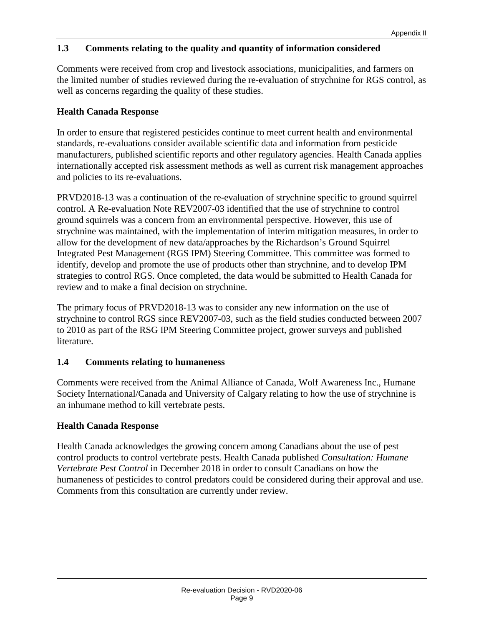#### **1.3 Comments relating to the quality and quantity of information considered**

Comments were received from crop and livestock associations, municipalities, and farmers on the limited number of studies reviewed during the re-evaluation of strychnine for RGS control, as well as concerns regarding the quality of these studies.

#### **Health Canada Response**

In order to ensure that registered pesticides continue to meet current health and environmental standards, re-evaluations consider available scientific data and information from pesticide manufacturers, published scientific reports and other regulatory agencies. Health Canada applies internationally accepted risk assessment methods as well as current risk management approaches and policies to its re-evaluations.

PRVD2018-13 was a continuation of the re-evaluation of strychnine specific to ground squirrel control. A Re-evaluation Note REV2007-03 identified that the use of strychnine to control ground squirrels was a concern from an environmental perspective. However, this use of strychnine was maintained, with the implementation of interim mitigation measures, in order to allow for the development of new data/approaches by the Richardson's Ground Squirrel Integrated Pest Management (RGS IPM) Steering Committee. This committee was formed to identify, develop and promote the use of products other than strychnine, and to develop IPM strategies to control RGS. Once completed, the data would be submitted to Health Canada for review and to make a final decision on strychnine.

The primary focus of PRVD2018-13 was to consider any new information on the use of strychnine to control RGS since REV2007-03, such as the field studies conducted between 2007 to 2010 as part of the RSG IPM Steering Committee project, grower surveys and published literature.

#### **1.4 Comments relating to humaneness**

Comments were received from the Animal Alliance of Canada, Wolf Awareness Inc., Humane Society International/Canada and University of Calgary relating to how the use of strychnine is an inhumane method to kill vertebrate pests.

#### **Health Canada Response**

Health Canada acknowledges the growing concern among Canadians about the use of pest control products to control vertebrate pests. Health Canada published *Consultation: Humane Vertebrate Pest Control* in December 2018 in order to consult Canadians on how the humaneness of pesticides to control predators could be considered during their approval and use. Comments from this consultation are currently under review.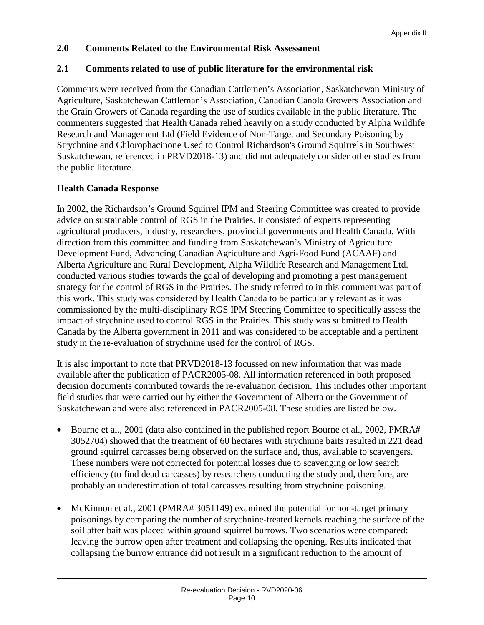#### **2.0 Comments Related to the Environmental Risk Assessment**

#### **2.1 Comments related to use of public literature for the environmental risk**

Comments were received from the Canadian Cattlemen's Association, Saskatchewan Ministry of Agriculture, Saskatchewan Cattleman's Association, Canadian Canola Growers Association and the Grain Growers of Canada regarding the use of studies available in the public literature. The commenters suggested that Health Canada relied heavily on a study conducted by Alpha Wildlife Research and Management Ltd (Field Evidence of Non-Target and Secondary Poisoning by Strychnine and Chlorophacinone Used to Control Richardson's Ground Squirrels in Southwest Saskatchewan, referenced in PRVD2018-13) and did not adequately consider other studies from the public literature.

#### **Health Canada Response**

In 2002, the Richardson's Ground Squirrel IPM and Steering Committee was created to provide advice on sustainable control of RGS in the Prairies. It consisted of experts representing agricultural producers, industry, researchers, provincial governments and Health Canada. With direction from this committee and funding from Saskatchewan's Ministry of Agriculture Development Fund, Advancing Canadian Agriculture and Agri-Food Fund (ACAAF) and Alberta Agriculture and Rural Development, Alpha Wildlife Research and Management Ltd. conducted various studies towards the goal of developing and promoting a pest management strategy for the control of RGS in the Prairies. The study referred to in this comment was part of this work. This study was considered by Health Canada to be particularly relevant as it was commissioned by the multi-disciplinary RGS IPM Steering Committee to specifically assess the impact of strychnine used to control RGS in the Prairies. This study was submitted to Health Canada by the Alberta government in 2011 and was considered to be acceptable and a pertinent study in the re-evaluation of strychnine used for the control of RGS.

It is also important to note that PRVD2018-13 focussed on new information that was made available after the publication of PACR2005-08. All information referenced in both proposed decision documents contributed towards the re-evaluation decision. This includes other important field studies that were carried out by either the Government of Alberta or the Government of Saskatchewan and were also referenced in PACR2005-08. These studies are listed below.

- Bourne et al., 2001 (data also contained in the published report Bourne et al., 2002, PMRA# 3052704) showed that the treatment of 60 hectares with strychnine baits resulted in 221 dead ground squirrel carcasses being observed on the surface and, thus, available to scavengers. These numbers were not corrected for potential losses due to scavenging or low search efficiency (to find dead carcasses) by researchers conducting the study and, therefore, are probably an underestimation of total carcasses resulting from strychnine poisoning.
- McKinnon et al., 2001 (PMRA# 3051149) examined the potential for non-target primary poisonings by comparing the number of strychnine-treated kernels reaching the surface of the soil after bait was placed within ground squirrel burrows. Two scenarios were compared: leaving the burrow open after treatment and collapsing the opening. Results indicated that collapsing the burrow entrance did not result in a significant reduction to the amount of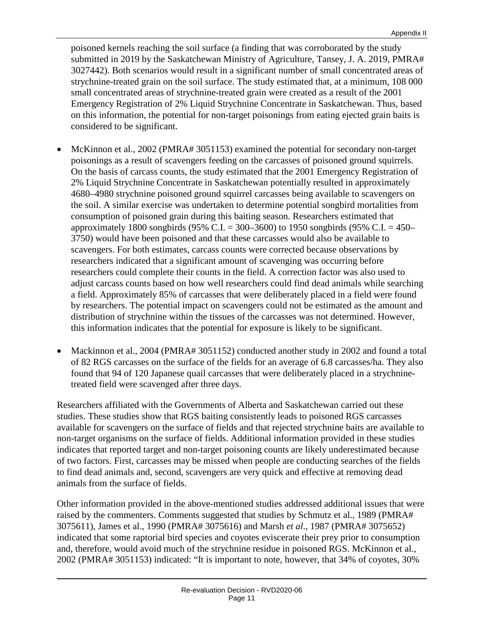poisoned kernels reaching the soil surface (a finding that was corroborated by the study submitted in 2019 by the Saskatchewan Ministry of Agriculture, Tansey, J. A. 2019, PMRA# 3027442). Both scenarios would result in a significant number of small concentrated areas of strychnine-treated grain on the soil surface. The study estimated that, at a minimum, 108 000 small concentrated areas of strychnine-treated grain were created as a result of the 2001 Emergency Registration of 2% Liquid Strychnine Concentrate in Saskatchewan. Thus, based on this information, the potential for non-target poisonings from eating ejected grain baits is considered to be significant.

- McKinnon et al., 2002 (PMRA# 3051153) examined the potential for secondary non-target poisonings as a result of scavengers feeding on the carcasses of poisoned ground squirrels. On the basis of carcass counts, the study estimated that the 2001 Emergency Registration of 2% Liquid Strychnine Concentrate in Saskatchewan potentially resulted in approximately 4680–4980 strychnine poisoned ground squirrel carcasses being available to scavengers on the soil. A similar exercise was undertaken to determine potential songbird mortalities from consumption of poisoned grain during this baiting season. Researchers estimated that approximately 1800 songbirds (95% C.I. = 300–3600) to 1950 songbirds (95% C.I. = 450– 3750) would have been poisoned and that these carcasses would also be available to scavengers. For both estimates, carcass counts were corrected because observations by researchers indicated that a significant amount of scavenging was occurring before researchers could complete their counts in the field. A correction factor was also used to adjust carcass counts based on how well researchers could find dead animals while searching a field. Approximately 85% of carcasses that were deliberately placed in a field were found by researchers. The potential impact on scavengers could not be estimated as the amount and distribution of strychnine within the tissues of the carcasses was not determined. However, this information indicates that the potential for exposure is likely to be significant.
- Mackinnon et al., 2004 (PMRA# 3051152) conducted another study in 2002 and found a total of 82 RGS carcasses on the surface of the fields for an average of 6.8 carcasses/ha. They also found that 94 of 120 Japanese quail carcasses that were deliberately placed in a strychninetreated field were scavenged after three days.

Researchers affiliated with the Governments of Alberta and Saskatchewan carried out these studies. These studies show that RGS baiting consistently leads to poisoned RGS carcasses available for scavengers on the surface of fields and that rejected strychnine baits are available to non-target organisms on the surface of fields. Additional information provided in these studies indicates that reported target and non-target poisoning counts are likely underestimated because of two factors. First, carcasses may be missed when people are conducting searches of the fields to find dead animals and, second, scavengers are very quick and effective at removing dead animals from the surface of fields.

Other information provided in the above-mentioned studies addressed additional issues that were raised by the commenters. Comments suggested that studies by Schmutz et al., 1989 (PMRA# 3075611), James et al., 1990 (PMRA# 3075616) and Marsh *et al*., 1987 (PMRA# 3075652) indicated that some raptorial bird species and coyotes eviscerate their prey prior to consumption and, therefore, would avoid much of the strychnine residue in poisoned RGS. McKinnon et al., 2002 (PMRA# 3051153) indicated: "It is important to note, however, that 34% of coyotes, 30%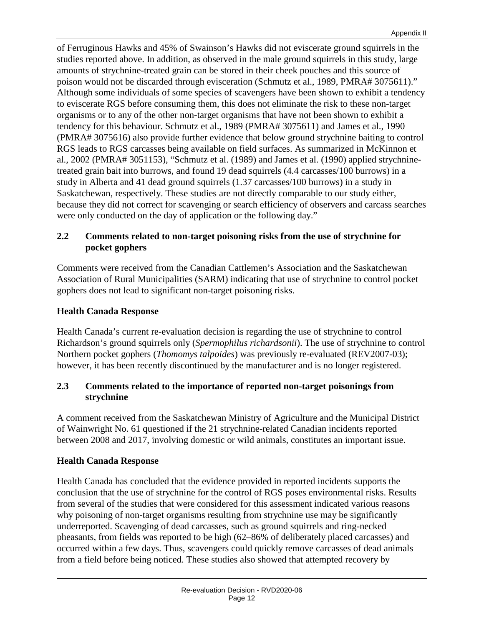of Ferruginous Hawks and 45% of Swainson's Hawks did not eviscerate ground squirrels in the studies reported above. In addition, as observed in the male ground squirrels in this study, large amounts of strychnine-treated grain can be stored in their cheek pouches and this source of poison would not be discarded through evisceration (Schmutz et al., 1989, PMRA# 3075611)." Although some individuals of some species of scavengers have been shown to exhibit a tendency to eviscerate RGS before consuming them, this does not eliminate the risk to these non-target organisms or to any of the other non-target organisms that have not been shown to exhibit a tendency for this behaviour. Schmutz et al., 1989 (PMRA# 3075611) and James et al., 1990 (PMRA# 3075616) also provide further evidence that below ground strychnine baiting to control RGS leads to RGS carcasses being available on field surfaces. As summarized in McKinnon et al., 2002 (PMRA# 3051153), "Schmutz et al. (1989) and James et al. (1990) applied strychninetreated grain bait into burrows, and found 19 dead squirrels (4.4 carcasses/100 burrows) in a study in Alberta and 41 dead ground squirrels (1.37 carcasses/100 burrows) in a study in Saskatchewan, respectively. These studies are not directly comparable to our study either, because they did not correct for scavenging or search efficiency of observers and carcass searches were only conducted on the day of application or the following day."

#### **2.2 Comments related to non-target poisoning risks from the use of strychnine for pocket gophers**

Comments were received from the Canadian Cattlemen's Association and the Saskatchewan Association of Rural Municipalities (SARM) indicating that use of strychnine to control pocket gophers does not lead to significant non-target poisoning risks.

#### **Health Canada Response**

Health Canada's current re-evaluation decision is regarding the use of strychnine to control Richardson's ground squirrels only (*Spermophilus richardsonii*). The use of strychnine to control Northern pocket gophers (*Thomomys talpoides*) was previously re-evaluated (REV2007-03); however, it has been recently discontinued by the manufacturer and is no longer registered.

#### **2.3 Comments related to the importance of reported non-target poisonings from strychnine**

A comment received from the Saskatchewan Ministry of Agriculture and the Municipal District of Wainwright No. 61 questioned if the 21 strychnine-related Canadian incidents reported between 2008 and 2017, involving domestic or wild animals, constitutes an important issue.

#### **Health Canada Response**

Health Canada has concluded that the evidence provided in reported incidents supports the conclusion that the use of strychnine for the control of RGS poses environmental risks. Results from several of the studies that were considered for this assessment indicated various reasons why poisoning of non-target organisms resulting from strychnine use may be significantly underreported. Scavenging of dead carcasses, such as ground squirrels and ring-necked pheasants, from fields was reported to be high (62–86% of deliberately placed carcasses) and occurred within a few days. Thus, scavengers could quickly remove carcasses of dead animals from a field before being noticed. These studies also showed that attempted recovery by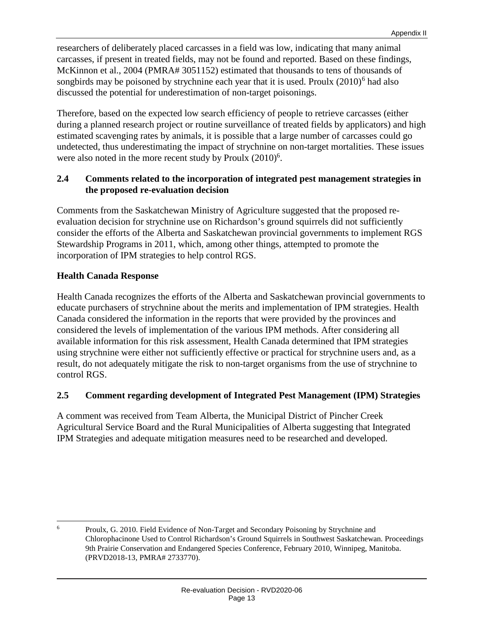researchers of deliberately placed carcasses in a field was low, indicating that many animal carcasses, if present in treated fields, may not be found and reported. Based on these findings, McKinnon et al., 2004 (PMRA# 3051152) estimated that thousands to tens of thousands of songbirds may be poisoned by strychnine each year that it is used. Proulx  $(2010)^6$  $(2010)^6$  had also discussed the potential for underestimation of non-target poisonings.

Therefore, based on the expected low search efficiency of people to retrieve carcasses (either during a planned research project or routine surveillance of treated fields by applicators) and high estimated scavenging rates by animals, it is possible that a large number of carcasses could go undetected, thus underestimating the impact of strychnine on non-target mortalities. These issues were also noted in the more recent study by Proulx  $(2010)^6$ .

#### **2.4 Comments related to the incorporation of integrated pest management strategies in the proposed re-evaluation decision**

Comments from the Saskatchewan Ministry of Agriculture suggested that the proposed reevaluation decision for strychnine use on Richardson's ground squirrels did not sufficiently consider the efforts of the Alberta and Saskatchewan provincial governments to implement RGS Stewardship Programs in 2011, which, among other things, attempted to promote the incorporation of IPM strategies to help control RGS.

#### **Health Canada Response**

Health Canada recognizes the efforts of the Alberta and Saskatchewan provincial governments to educate purchasers of strychnine about the merits and implementation of IPM strategies. Health Canada considered the information in the reports that were provided by the provinces and considered the levels of implementation of the various IPM methods. After considering all available information for this risk assessment, Health Canada determined that IPM strategies using strychnine were either not sufficiently effective or practical for strychnine users and, as a result, do not adequately mitigate the risk to non-target organisms from the use of strychnine to control RGS.

#### **2.5 Comment regarding development of Integrated Pest Management (IPM) Strategies**

A comment was received from Team Alberta, the Municipal District of Pincher Creek Agricultural Service Board and the Rural Municipalities of Alberta suggesting that Integrated IPM Strategies and adequate mitigation measures need to be researched and developed.

<span id="page-15-0"></span><sup>&</sup>lt;sup>6</sup> Proulx, G. 2010. Field Evidence of Non-Target and Secondary Poisoning by Strychnine and Chlorophacinone Used to Control Richardson's Ground Squirrels in Southwest Saskatchewan. Proceedings 9th Prairie Conservation and Endangered Species Conference, February 2010, Winnipeg, Manitoba. (PRVD2018-13, PMRA# 2733770).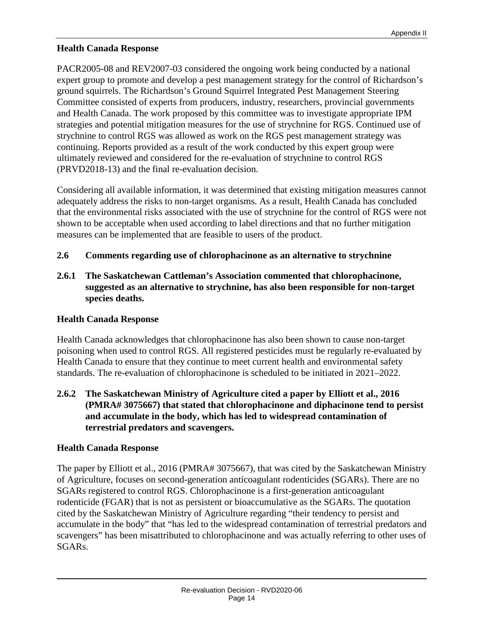#### **Health Canada Response**

PACR2005-08 and REV2007-03 considered the ongoing work being conducted by a national expert group to promote and develop a pest management strategy for the control of Richardson's ground squirrels. The Richardson's Ground Squirrel Integrated Pest Management Steering Committee consisted of experts from producers, industry, researchers, provincial governments and Health Canada. The work proposed by this committee was to investigate appropriate IPM strategies and potential mitigation measures for the use of strychnine for RGS. Continued use of strychnine to control RGS was allowed as work on the RGS pest management strategy was continuing. Reports provided as a result of the work conducted by this expert group were ultimately reviewed and considered for the re-evaluation of strychnine to control RGS (PRVD2018-13) and the final re-evaluation decision.

Considering all available information, it was determined that existing mitigation measures cannot adequately address the risks to non-target organisms. As a result, Health Canada has concluded that the environmental risks associated with the use of strychnine for the control of RGS were not shown to be acceptable when used according to label directions and that no further mitigation measures can be implemented that are feasible to users of the product.

#### **2.6 Comments regarding use of chlorophacinone as an alternative to strychnine**

**2.6.1 The Saskatchewan Cattleman's Association commented that chlorophacinone, suggested as an alternative to strychnine, has also been responsible for non-target species deaths.**

#### **Health Canada Response**

Health Canada acknowledges that chlorophacinone has also been shown to cause non-target poisoning when used to control RGS. All registered pesticides must be regularly re-evaluated by Health Canada to ensure that they continue to meet current health and environmental safety standards. The re-evaluation of chlorophacinone is scheduled to be initiated in 2021–2022.

**2.6.2 The Saskatchewan Ministry of Agriculture cited a paper by Elliott et al., 2016 (PMRA# 3075667) that stated that chlorophacinone and diphacinone tend to persist and accumulate in the body, which has led to widespread contamination of terrestrial predators and scavengers.**

#### **Health Canada Response**

The paper by Elliott et al., 2016 (PMRA# 3075667), that was cited by the Saskatchewan Ministry of Agriculture, focuses on second-generation anticoagulant rodenticides (SGARs). There are no SGARs registered to control RGS. Chlorophacinone is a first-generation anticoagulant rodenticide (FGAR) that is not as persistent or bioaccumulative as the SGARs. The quotation cited by the Saskatchewan Ministry of Agriculture regarding "their tendency to persist and accumulate in the body" that "has led to the widespread contamination of terrestrial predators and scavengers" has been misattributed to chlorophacinone and was actually referring to other uses of SGARs.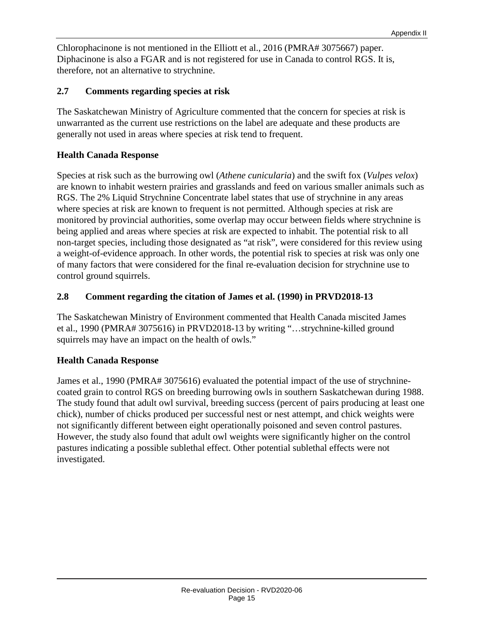Chlorophacinone is not mentioned in the Elliott et al., 2016 (PMRA# 3075667) paper. Diphacinone is also a FGAR and is not registered for use in Canada to control RGS. It is, therefore, not an alternative to strychnine.

#### **2.7 Comments regarding species at risk**

The Saskatchewan Ministry of Agriculture commented that the concern for species at risk is unwarranted as the current use restrictions on the label are adequate and these products are generally not used in areas where species at risk tend to frequent.

#### **Health Canada Response**

Species at risk such as the burrowing owl (*Athene cunicularia*) and the swift fox (*Vulpes velox*) are known to inhabit western prairies and grasslands and feed on various smaller animals such as RGS. The 2% Liquid Strychnine Concentrate label states that use of strychnine in any areas where species at risk are known to frequent is not permitted. Although species at risk are monitored by provincial authorities, some overlap may occur between fields where strychnine is being applied and areas where species at risk are expected to inhabit. The potential risk to all non-target species, including those designated as "at risk", were considered for this review using a weight-of-evidence approach. In other words, the potential risk to species at risk was only one of many factors that were considered for the final re-evaluation decision for strychnine use to control ground squirrels.

#### **2.8 Comment regarding the citation of James et al. (1990) in PRVD2018-13**

The Saskatchewan Ministry of Environment commented that Health Canada miscited James et al., 1990 (PMRA# 3075616) in PRVD2018-13 by writing "…strychnine-killed ground squirrels may have an impact on the health of owls."

#### **Health Canada Response**

James et al., 1990 (PMRA# 3075616) evaluated the potential impact of the use of strychninecoated grain to control RGS on breeding burrowing owls in southern Saskatchewan during 1988. The study found that adult owl survival, breeding success (percent of pairs producing at least one chick), number of chicks produced per successful nest or nest attempt, and chick weights were not significantly different between eight operationally poisoned and seven control pastures. However, the study also found that adult owl weights were significantly higher on the control pastures indicating a possible sublethal effect. Other potential sublethal effects were not investigated.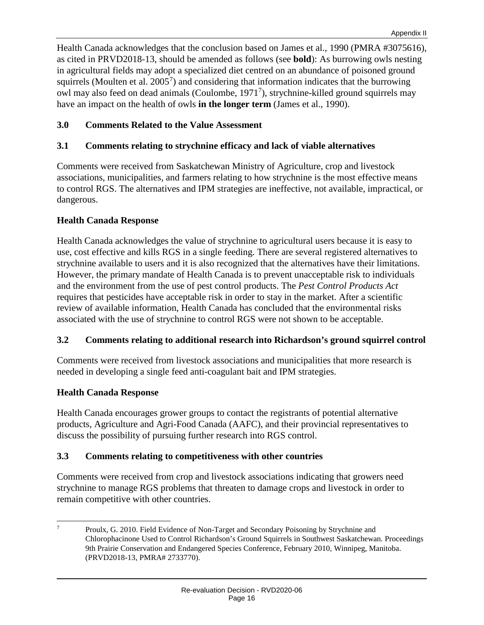Health Canada acknowledges that the conclusion based on James et al., 1990 (PMRA #3075616), as cited in PRVD2018-13, should be amended as follows (see **bold**): As burrowing owls nesting in agricultural fields may adopt a specialized diet centred on an abundance of poisoned ground squirrels (Moulten et al.  $2005<sup>7</sup>$  $2005<sup>7</sup>$  $2005<sup>7</sup>$ ) and considering that information indicates that the burrowing owl may also feed on dead animals (Coulombe, 19717 ), strychnine-killed ground squirrels may have an impact on the health of owls **in the longer term** (James et al., 1990).

#### **3.0 Comments Related to the Value Assessment**

#### **3.1 Comments relating to strychnine efficacy and lack of viable alternatives**

Comments were received from Saskatchewan Ministry of Agriculture, crop and livestock associations, municipalities, and farmers relating to how strychnine is the most effective means to control RGS. The alternatives and IPM strategies are ineffective, not available, impractical, or dangerous.

#### **Health Canada Response**

Health Canada acknowledges the value of strychnine to agricultural users because it is easy to use, cost effective and kills RGS in a single feeding. There are several registered alternatives to strychnine available to users and it is also recognized that the alternatives have their limitations. However, the primary mandate of Health Canada is to prevent unacceptable risk to individuals and the environment from the use of pest control products. The *Pest Control Products Act* requires that pesticides have acceptable risk in order to stay in the market. After a scientific review of available information, Health Canada has concluded that the environmental risks associated with the use of strychnine to control RGS were not shown to be acceptable.

#### **3.2 Comments relating to additional research into Richardson's ground squirrel control**

Comments were received from livestock associations and municipalities that more research is needed in developing a single feed anti-coagulant bait and IPM strategies.

#### **Health Canada Response**

Health Canada encourages grower groups to contact the registrants of potential alternative products, Agriculture and Agri-Food Canada (AAFC), and their provincial representatives to discuss the possibility of pursuing further research into RGS control.

#### **3.3 Comments relating to competitiveness with other countries**

Comments were received from crop and livestock associations indicating that growers need strychnine to manage RGS problems that threaten to damage crops and livestock in order to remain competitive with other countries.

<span id="page-18-0"></span> <sup>7</sup> Proulx, G. 2010. Field Evidence of Non-Target and Secondary Poisoning by Strychnine and Chlorophacinone Used to Control Richardson's Ground Squirrels in Southwest Saskatchewan. Proceedings 9th Prairie Conservation and Endangered Species Conference, February 2010, Winnipeg, Manitoba. (PRVD2018-13, PMRA# 2733770).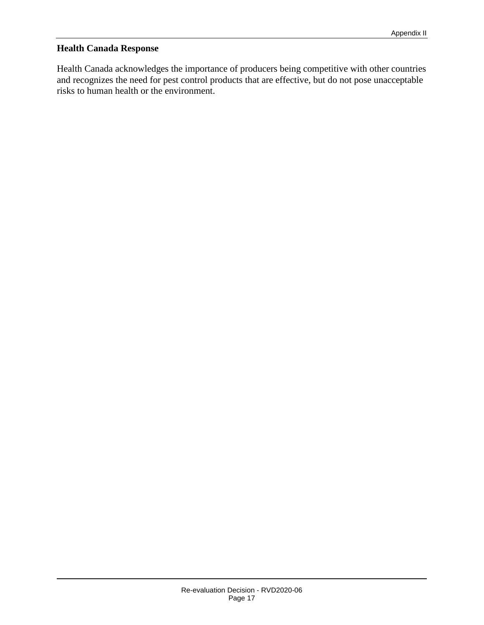#### **Health Canada Response**

Health Canada acknowledges the importance of producers being competitive with other countries and recognizes the need for pest control products that are effective, but do not pose unacceptable risks to human health or the environment.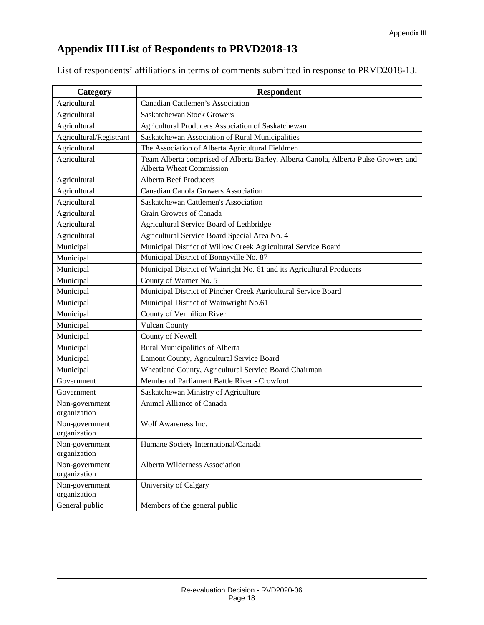# **Appendix III List of Respondents to PRVD2018-13**

List of respondents' affiliations in terms of comments submitted in response to PRVD2018-13.

| Category                       | <b>Respondent</b>                                                                                                      |
|--------------------------------|------------------------------------------------------------------------------------------------------------------------|
| Agricultural                   | Canadian Cattlemen's Association                                                                                       |
| Agricultural                   | <b>Saskatchewan Stock Growers</b>                                                                                      |
| Agricultural                   | Agricultural Producers Association of Saskatchewan                                                                     |
| Agricultural/Registrant        | Saskatchewan Association of Rural Municipalities                                                                       |
| Agricultural                   | The Association of Alberta Agricultural Fieldmen                                                                       |
| Agricultural                   | Team Alberta comprised of Alberta Barley, Alberta Canola, Alberta Pulse Growers and<br><b>Alberta Wheat Commission</b> |
| Agricultural                   | <b>Alberta Beef Producers</b>                                                                                          |
| Agricultural                   | <b>Canadian Canola Growers Association</b>                                                                             |
| Agricultural                   | Saskatchewan Cattlemen's Association                                                                                   |
| Agricultural                   | Grain Growers of Canada                                                                                                |
| Agricultural                   | Agricultural Service Board of Lethbridge                                                                               |
| Agricultural                   | Agricultural Service Board Special Area No. 4                                                                          |
| Municipal                      | Municipal District of Willow Creek Agricultural Service Board                                                          |
| Municipal                      | Municipal District of Bonnyville No. 87                                                                                |
| Municipal                      | Municipal District of Wainright No. 61 and its Agricultural Producers                                                  |
| Municipal                      | County of Warner No. 5                                                                                                 |
| Municipal                      | Municipal District of Pincher Creek Agricultural Service Board                                                         |
| Municipal                      | Municipal District of Wainwright No.61                                                                                 |
| Municipal                      | County of Vermilion River                                                                                              |
| Municipal                      | <b>Vulcan County</b>                                                                                                   |
| Municipal                      | County of Newell                                                                                                       |
| Municipal                      | Rural Municipalities of Alberta                                                                                        |
| Municipal                      | Lamont County, Agricultural Service Board                                                                              |
| Municipal                      | Wheatland County, Agricultural Service Board Chairman                                                                  |
| Government                     | Member of Parliament Battle River - Crowfoot                                                                           |
| Government                     | Saskatchewan Ministry of Agriculture                                                                                   |
| Non-government<br>organization | Animal Alliance of Canada                                                                                              |
| Non-government<br>organization | Wolf Awareness Inc.                                                                                                    |
| Non-government<br>organization | Humane Society International/Canada                                                                                    |
| Non-government<br>organization | Alberta Wilderness Association                                                                                         |
| Non-government<br>organization | University of Calgary                                                                                                  |
| General public                 | Members of the general public                                                                                          |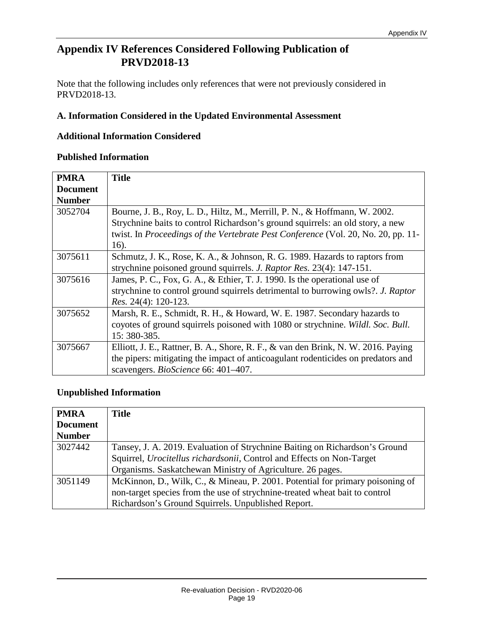## **Appendix IV References Considered Following Publication of PRVD2018-13**

Note that the following includes only references that were not previously considered in PRVD2018-13.

#### **A. Information Considered in the Updated Environmental Assessment**

#### **Additional Information Considered**

#### **Published Information**

| <b>PMRA</b>     | <b>Title</b>                                                                      |
|-----------------|-----------------------------------------------------------------------------------|
| <b>Document</b> |                                                                                   |
| <b>Number</b>   |                                                                                   |
| 3052704         | Bourne, J. B., Roy, L. D., Hiltz, M., Merrill, P. N., & Hoffmann, W. 2002.        |
|                 | Strychnine baits to control Richardson's ground squirrels: an old story, a new    |
|                 | twist. In Proceedings of the Vertebrate Pest Conference (Vol. 20, No. 20, pp. 11- |
|                 | 16).                                                                              |
| 3075611         | Schmutz, J. K., Rose, K. A., & Johnson, R. G. 1989. Hazards to raptors from       |
|                 | strychnine poisoned ground squirrels. <i>J. Raptor Res.</i> 23(4): 147-151.       |
| 3075616         | James, P. C., Fox, G. A., & Ethier, T. J. 1990. Is the operational use of         |
|                 | strychnine to control ground squirrels detrimental to burrowing owls?. J. Raptor  |
|                 | Res. 24(4): 120-123.                                                              |
| 3075652         | Marsh, R. E., Schmidt, R. H., & Howard, W. E. 1987. Secondary hazards to          |
|                 | coyotes of ground squirrels poisoned with 1080 or strychnine. Wildl. Soc. Bull.   |
|                 | 15: 380-385.                                                                      |
| 3075667         | Elliott, J. E., Rattner, B. A., Shore, R. F., & van den Brink, N. W. 2016. Paying |
|                 | the pipers: mitigating the impact of anticoagulant rodenticides on predators and  |
|                 | scavengers. <i>BioScience</i> 66: 401–407.                                        |

#### **Unpublished Information**

| <b>PMRA</b>     | <b>Title</b>                                                                  |
|-----------------|-------------------------------------------------------------------------------|
| <b>Document</b> |                                                                               |
| <b>Number</b>   |                                                                               |
| 3027442         | Tansey, J. A. 2019. Evaluation of Strychnine Baiting on Richardson's Ground   |
|                 | Squirrel, <i>Urocitellus richardsonii</i> , Control and Effects on Non-Target |
|                 | Organisms. Saskatchewan Ministry of Agriculture. 26 pages.                    |
| 3051149         | McKinnon, D., Wilk, C., & Mineau, P. 2001. Potential for primary poisoning of |
|                 | non-target species from the use of strychnine-treated wheat bait to control   |
|                 | Richardson's Ground Squirrels. Unpublished Report.                            |